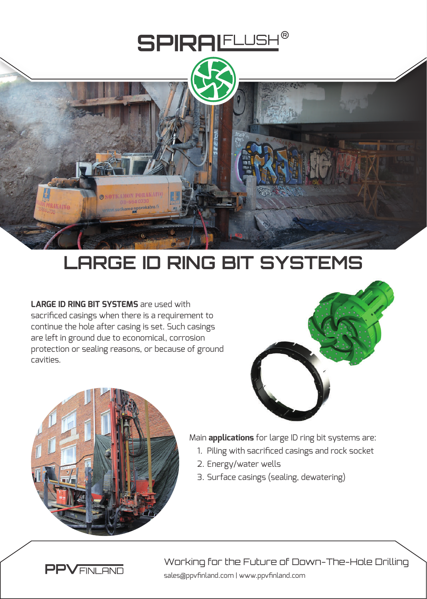

## **LARGE ID RING BIT SYSTEMS**

**LARGE ID RING BIT SYSTEMS** are used with sacrificed casings when there is a requirement to continue the hole after casing is set. Such casings are left in ground due to economical, corrosion protection or sealing reasons, or because of ground cavities.





Main **applications** for large ID ring bit systems are:

- 1. Piling with sacrificed casings and rock socket
- 2. Energy/water wells
- 3. Surface casings (sealing, dewatering)



sales@ppvfinland.com | www.ppvfinland.com Working for the Future of Down-The-Hole Drilling